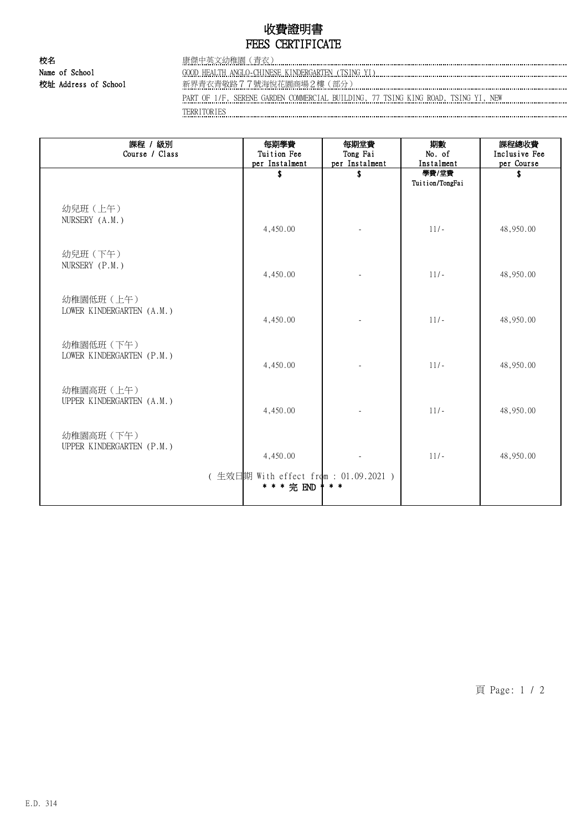## 收費證明書 FEES CERTIFICATE

校名 康傑中英文幼稚園(青衣)

Name of School GOOD HEALTH ANGLO-CHINESE KINDERGARTEN (TSING YI)

校址 Address of School 新界青衣青敬路7.7號海悅花園商場2樓(部分)

PART OF 1/F, SERENE GARDEN COMMERCIAL BUILDING, 77 TSING KING ROAD, TSING YI, NEW TERRITORIES

課程 / 級別 Course / Class 每期學費 Tuition Fee per Instalment 每期堂費 Tong Fai per Instalment 期數 No. of Instalment 課程總收費 Inclusive Fee per Course **\$** \$ 學費/堂費 Tuition/TongFai \$ 幼兒班(上午) NURSERY (A.M.) 4,450.00 - 11/- 48,950.00 幼兒班(下午) NURSERY (P.M.) 4,450.00 - 11/- 48,950.00 幼稚園低班(上午) LOWER KINDERGARTEN (A.M.) 4,450.00 | - 11/- 148,950.00 幼稚園低班(下午) LOWER KINDERGARTEN (P.M.) 4,450.00 - 11/- 48,950.00 幼稚園高班(上午) UPPER KINDERGARTEN (A.M.) 4,450.00 - 11/- 48,950.00 幼稚園高班(下午) UPPER KINDERGARTEN (P.M.) 4,450.00 - 11/- 48,950.00 ( 生效日期 With effect from : 01.09.2021 ) \* \* \* 完 END \* \* \*

頁 Page: 1 / 2